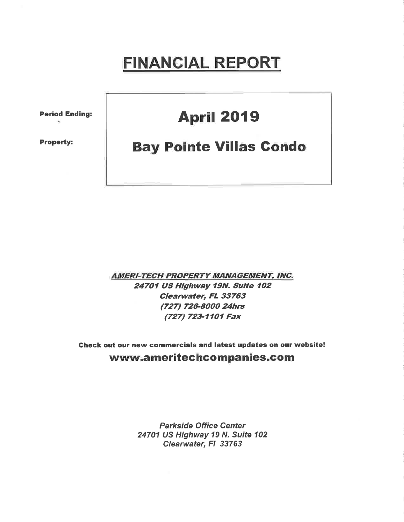# **FINANCIAL REPORT**

**Period Ending:** 

**Property:** 

## **April 2019**

## **Bay Pointe Villas Condo**

**AMERI-TECH PROPERTY MANAGEMENT, INC.** 24701 US Highway 19N. Suite 102 Clearwater, FL 33763 (727) 726-8000 24hrs (727) 723-1101 Fax

Check out our new commercials and latest updates on our website! www.ameritechcompanies.com

> **Parkside Office Center** 24701 US Highway 19 N. Suite 102 Clearwater, FI 33763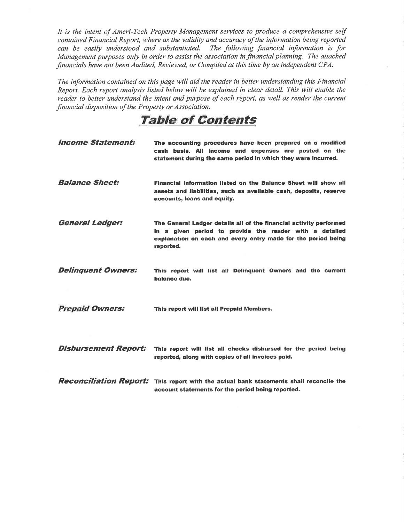It is the intent of Ameri-Tech Property Management services to produce a comprehensive self contained Financial Report, where as the validity and accuracy of the information being reported can be easily understood and substantiated. The following financial information is for Management purposes only in order to assist the association in financial planning. The attached financials have not been Audited, Reviewed, or Compiled at this time by an independent CPA.

The information contained on this page will aid the reader in better understanding this Financial Report. Each report analysis listed below will be explained in clear detail. This will enable the reader to better understand the intent and purpose of each report, as well as render the current financial disposition of the Property or Association.

### Taþle of Contents

| <i><b>Income Statement:</b></i> | The accounting procedures have been prepared on a modified<br>cash basis. All income and expenses are posted on the<br>statement during the same period in which they were incurred.                        |
|---------------------------------|-------------------------------------------------------------------------------------------------------------------------------------------------------------------------------------------------------------|
| <b>Balance Sheet:</b>           | Financial information listed on the Balance Sheet will show all<br>assets and liabilities, such as available cash, deposits, reserve<br>accounts, loans and equity.                                         |
| <b>General Ledger:</b>          | The General Ledger details all of the financial activity performed<br>in a given period to provide the reader with a detailed<br>explanation on each and every entry made for the period being<br>reported. |
| <b>Delinquent Owners:</b>       | This report will list all Delinquent Owners and the current<br>balance due.                                                                                                                                 |
| <b>Prepaid Owners:</b>          | This report will list all Prepaid Members.                                                                                                                                                                  |
| <b>Disbursement Report:</b>     | This report will list all checks disbursed for the period being<br>reported, along with copies of all invoices paid.                                                                                        |
|                                 | <b>Reconciliation Report:</b> This report with the actual bank statements shall reconcile the<br>account statements for the period being reported.                                                          |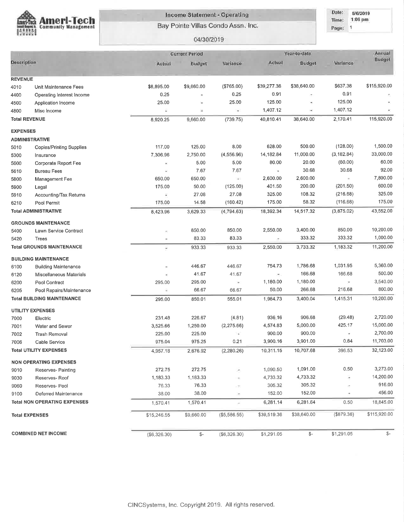

#### **Income Statement - Operating**

Bay Pointe Villas Condo Assn. Inc.

Date: 5/6/2019 1:06 pm Time:

#### Page: 1

| 04/30/2019 |
|------------|
|------------|

|                              |                                     | <b>Current Period</b> |               | Year-to-date  | Annual              |               |               |                |
|------------------------------|-------------------------------------|-----------------------|---------------|---------------|---------------------|---------------|---------------|----------------|
| Description                  |                                     | Actual                | Budget        | Variance      | Actual              | Budget        | Variance      | Budget         |
|                              |                                     |                       |               |               |                     |               |               |                |
| <b>REVENUE</b>               |                                     |                       |               |               |                     | \$38,640.00   | \$637.38      | \$115,920.00   |
| 4010                         | Unit Maintenance Fees               | \$8,895.00            | \$9,660.00    | (\$765.00)    | \$39,277.38<br>0.91 |               | 0.91          |                |
| 4400                         | Operating Interest Income           | 0.25                  | ×<br>$\equiv$ | 0.25<br>25.00 | 125.00              | ×             | 125.00        |                |
| 4500                         | Application Income                  | 25.00<br>ç            | ÿ.            | $\frac{1}{2}$ | 1,407.12            | ×             | 1,407.12      |                |
| 4800<br><b>Total REVENUE</b> | Misc Income                         |                       | 9,660.00      | (739.75)      | 40,810.41           | 38,640.00     | 2,170.41      | 115,920.00     |
|                              |                                     | 8,920.25              |               |               |                     |               |               |                |
| <b>EXPENSES</b>              |                                     |                       |               |               |                     |               |               |                |
|                              | <b>ADMINISTRATIVE</b>               |                       |               |               |                     |               |               |                |
| 5010                         | <b>Copies/Printing Supplies</b>     | 117.00                | 125.00        | 8.00          | 628.00              | 500.00        | (128.00)      | 1,500.00       |
| 5300                         | Insurance                           | 7,306.96              | 2,750.00      | (4,556.96)    | 14,182.84           | 11,000.00     | (3, 182.84)   | 33,000.00      |
| 5600                         | Corporate Report Fee                |                       | 5.00          | 5.00          | 80.00               | 20.00         | (60.00)       | 60.00          |
| 5610                         | <b>Bureau Fees</b>                  | ×,                    | 7.67          | 7.67          | $\bar{a}$           | 30.68         | 30.68         | 92.00          |
| 5800                         | Management Fee                      | 650.00                | 650.00        | Эń,           | 2,600.00            | 2,600.00      |               | 7,800.00       |
| 5900                         | Legal                               | 175.00                | 50.00         | (125.00)      | 401.50              | 200.00        | (201.50)      | 600.00         |
| 5910                         | Accounting/Tax Returns              | Φ                     | 27.08         | 27.08         | 325.00              | 108.32        | (216.68)      | 325.00         |
| 6210                         | Pool Permit                         | 175.00                | 14.58         | (160.42)      | 175.00              | 58.32         | (116.68)      | 175.00         |
|                              | <b>Total ADMINISTRATIVE</b>         | 8,423.96              | 3,629.33      | (4, 794.63)   | 18,392.34           | 14,517.32     | (3,875.02)    | 43,552.00      |
|                              | <b>GROUNDS MAINTENANCE</b>          |                       |               |               |                     |               |               |                |
| 5400                         | Lawn Service Contract               | ă,                    | 850.00        | 850.00        | 2,550.00            | 3,400.00      | 850.00        | 10,200.00      |
| 5420                         | Trees                               | ×                     | 83.33         | 83.33         | ÷,                  | 333.32        | 333.32        | 1,000.00       |
|                              | <b>Total GROUNDS MAINTENANCE</b>    | ۷                     | 933.33        | 933.33        | 2,550.00            | 3,733.32      | 1.183.32      | 11,200.00      |
|                              | <b>BUILDING MAINTENANCE</b>         |                       |               |               |                     |               |               |                |
| 6100                         | <b>Building Maintenance</b>         |                       | 446.67        | 446.67        | 754.73              | 1,786.68      | 1,031.95      | 5,360.00       |
| 6120                         | Miscellaneous Materials             |                       | 41.67         | 41.67         | $\mathcal{C}$       | 166.68        | 166.68        | 500.00         |
| 6200                         | Pool Contract                       | 295.00                | 295.00        | $\bullet$     | 1,180.00            | 1,180.00      |               | 3,540.00       |
| 6205                         | Pool Repairs/Maintenance            | G                     | 66.67         | 66.67         | 50.00               | 266.68        | 216.68        | 800.00         |
|                              | <b>Total BUILDING MAINTENANCE</b>   | 295.00                | 850.01        | 555.01        | 1,984.73            | 3,400.04      | 1,415.31      | 10,200.00      |
|                              | <b>UTILITY EXPENSES</b>             |                       |               |               |                     |               |               |                |
| 7000                         | Electric                            | 231.48                | 226.67        | (4.81)        | 936.16              | 906.68        | (29.48)       | 2,720.00       |
| 7001                         | Water and Sewer                     | 3,525.66              | 1,250.00      | (2, 275.66)   | 4,574.83            | 5,000.00      | 425.17        | 15,000.00      |
| 7002                         | <b>Trash Removal</b>                | 225.00                | 225.00        | ì.            | 900.00              | 900.00        |               | 2,700.00       |
| 7006                         | Cable Service                       | 975.04                | 975.25        | 0.21          | 3,900.16            | 3,901.00      | 0.84          | 11,703.00      |
|                              | Total UTILITY EXPENSES              | 4,957.18              | 2,676.92      | (2,280.26)    | 10,311.15           | 10,707.68     | 396.53        | 32,123.00      |
|                              | <b>NON OPERATING EXPENSES</b>       |                       |               |               |                     |               |               |                |
| 9010                         | Reserves- Painting                  | 272.75                | 272.75        | ×,            | 1,090.50            | 1,091.00      | 0.50          | 3,273.00       |
| 9030                         | Reserves-Roof                       | 1,183.33              | 1,183.33      |               | 4,733.32            | 4,733.32      | ×,            | 14,200.00      |
| 9060                         | Reserves-Pool                       | 76.33                 | 76.33         | ÷             | 305.32              | 305.32        |               | 916.00         |
| 9100                         | Deferred Maintenance                | 38.00                 | 38.00         | ×             | 152.00              | 152.00        | ÷             | 456.00         |
|                              | <b>Total NON OPERATING EXPENSES</b> |                       |               |               |                     | 6,281.64      | 0.50          | 18,845.00      |
|                              |                                     | 1,570.41              | 1,570.41      | r.            | 6,281.14            |               |               |                |
|                              | <b>Total EXPENSES</b>               | \$15,246.55           | \$9,660.00    | (\$5,586.55)  | \$39,519.36         | \$38,640.00   | $($ \$879.36) | \$115,920.00   |
|                              |                                     |                       |               |               |                     |               |               | $\mathcal{S}-$ |
|                              | <b>COMBINED NET INCOME</b>          | (\$6,326.30)          | \$-           | (\$6,326.30)  | \$1,291.05          | $\frac{2}{3}$ | \$1,291.05    |                |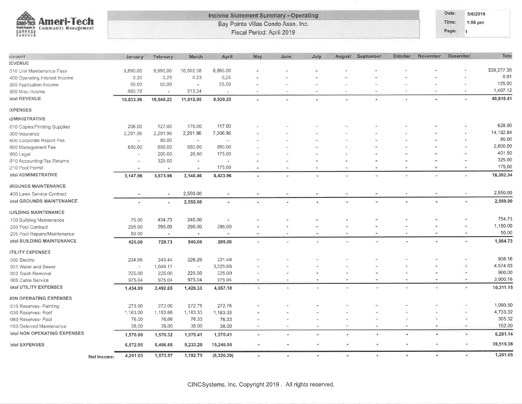

#### Income Statement Summary - Operating Bay Pointe Villas Condo Assn. Inc. Fiscal Period: April 2019

Date: 5/6/2019 1:06 pm

Time: Page: 1

| <b>scount</b>                 | January   | Eebruary                 | March     | April                    | May                      | June                     | <b>July</b> | August                   | September             | October        | November | December                 | Tota        |
|-------------------------------|-----------|--------------------------|-----------|--------------------------|--------------------------|--------------------------|-------------|--------------------------|-----------------------|----------------|----------|--------------------------|-------------|
| <b><i>REVENUE</i></b>         |           |                          |           |                          |                          |                          |             |                          |                       |                |          |                          |             |
| 010 Unit Maintenance Fees     | 9,890.00  | 9,990.00                 | 10,502.38 | 8,895.00                 |                          |                          |             |                          |                       |                |          |                          | \$39,277.38 |
| 400 Operating Interest Income | 0.20      | 0.23                     | 0.23      | 0,25                     |                          |                          |             |                          |                       |                |          | ×                        | 0.91        |
| 500 Application Income        | 50.00     | 50:00                    | $\sim$    | 25.00                    |                          |                          |             |                          |                       |                |          |                          | 125.00      |
| 800 Misc Income               | 893.78    | $\bullet$                | 513.34    | ×.                       | $\overline{\phantom{a}}$ |                          | ٠           | ×                        |                       |                |          | w.                       | 1,407.12    |
| otal REVENUE                  | 10,833.98 | 10,040.23                | 11,015.95 | 8,920.25                 | a.                       |                          | ۰           | ÷                        | ×                     | ٠.             | ×.       | $\tilde{\phantom{a}}$    | 40,810.41   |
| <b>:XPENSES</b>               |           |                          |           |                          |                          |                          |             |                          |                       |                |          |                          |             |
| <b>DMINISTRATIVE</b>          |           |                          |           |                          |                          |                          |             |                          |                       |                |          |                          |             |
| 010 Copies/Printing Supplies  | 206.00    | 127.00                   | 178.00    | 117.00                   |                          |                          |             |                          |                       |                |          | ×                        | 628.00      |
| 300 Insurance                 | 2,291.96  | 2,291.96                 | 2,291.96  | 7,306.96                 |                          |                          |             |                          |                       |                |          |                          | 14,182.84   |
| 600 Corporate Report Fee      | ×         | 80.00                    | ί¥.       | $\rightarrow$            |                          |                          |             |                          |                       |                |          | $\overline{\phantom{a}}$ | 80.00       |
| 800 Management Fee            | 650.00    | 650.00                   | 650.00    | 650.00                   |                          |                          | ٠           | ٠                        |                       |                |          | ×                        | 2,600.00    |
| 900 Legal                     | ×.        | 200.00                   | 26.50     | 175.00                   |                          |                          | z           |                          |                       |                |          | ×.                       | 401.50      |
| 810 Accounting/Tax Returns    | ×         | 325.00                   | ×         | $\bullet$                | ÿ,                       |                          | ٠           | $\rightarrow$            |                       |                |          | ٠                        | 325.00      |
| 210 Pool Permit               | ×         | $\overline{\phantom{a}}$ | ÷         | 175.00                   | ÷                        | $\overline{\phantom{a}}$ | i.          | $\blacksquare$           | $\overline{a}$        |                | ×        | ÷                        | 175.00      |
| otal ADMINISTRATIVE           | 3,147.96  | 3,673.96                 | 3,146.46  | 8,423.96                 | Ú.                       | ¥                        |             | $\overline{\phantom{a}}$ |                       |                | ٠        | ÷                        | 18,392.34   |
| <b>ROUNDS MAINTENANCE</b>     |           |                          |           |                          |                          |                          |             |                          |                       |                |          |                          |             |
| 400 Lawn Service Contract     |           |                          | 2,550.00  |                          |                          |                          |             |                          |                       |                |          |                          | 2,550.00    |
| otal GROUNDS MAINTENANCE      |           | ¥                        | 2,550.00  | ä.                       |                          |                          |             |                          |                       |                |          | ÷                        | 2,550.00    |
| <b>IUILDING MAINTENANCE</b>   |           |                          |           |                          |                          |                          |             |                          |                       |                |          |                          |             |
| 100 Building Maintenance      | 75.00     | 434.73                   | 245.00    | Ξ                        |                          |                          |             |                          |                       |                |          |                          | 754.73      |
| 200 Pool Contract             | 295.00    | 295.00                   | 295.00    | 295.00                   |                          |                          |             | ۰                        |                       |                |          | $\overline{\phantom{a}}$ | 1,180.00    |
| 205 Pool Repairs/Maintenance  | 50:00     | $\pm$                    | $\psi$    | $\overline{\phantom{a}}$ | ÷                        | $\sim$                   | $\sim$      | ×.                       | ×.                    | $\overline{a}$ | ٠        | Ξ                        | 50.00       |
| otal BUILDING MAINTENANCE     | 420.00    | 729.73                   | 540.00    | 295.00                   | i.                       |                          |             | ÷                        | $\bullet$             | $\ddot{}$      | ¥.       | ×                        | 1,984.73    |
| <b>JTILITY EXPENSES</b>       |           |                          |           |                          |                          |                          |             |                          |                       |                |          |                          |             |
| 000 Electric                  | 234.95    | 243.44                   | 226.29    | 231.48                   |                          |                          |             |                          |                       |                |          |                          | 936.16      |
| 001 Water and Sewer           | 25.       | 1,049.17                 | $\bullet$ | 3,525.66                 |                          |                          |             | ۰                        |                       |                |          | Ξ                        | 4,574.83    |
| 002 Trash Removal             | 225,00    | 225.00                   | 225.00    | 225.00                   |                          |                          |             |                          |                       |                |          | У.                       | 900.00      |
| 006 Cable Service             | 975.04    | 975.04                   | 975.04    | 975.04                   |                          |                          |             | ×                        |                       |                |          |                          | 3,900.16    |
| otal UTILITY EXPENSES         | 1,434.99  | 2,492.65                 | 1,426.33  | 4,957.18                 | ÷                        |                          | ×.          | Œ.                       | œ.                    | пg.            | ×        | ×.                       | 10,311.15   |
| <b>JON OPERATING EXPENSES</b> |           |                          |           |                          |                          |                          |             |                          |                       |                |          |                          |             |
| 010 Reserves- Painting        | 273.00    | 272.00                   | 272.75    | 272.75                   |                          |                          |             |                          |                       |                |          | $\sim$                   | 1,090.50    |
| 030 Reserves- Roof            | 1,183.00  | 1,183.66                 | 1,183.33  | 1,183.33                 |                          |                          |             |                          |                       |                |          |                          | 4,733.32    |
| 060 Reserves- Pool            | 76.00     | 76.66                    | 76.33     | 76.33                    |                          |                          |             | ۰                        |                       |                |          | ¥                        | 305.32      |
| 1100 Deferred Maintenance     | 38.00     | 38.00                    | 38.00     | 38.00                    | ÷                        | ÷.                       | ×           | ÷                        | ÷.                    | ÷.             | ÷        | ÷                        | 152.00      |
| otal NON OPERATING EXPENSES   | 1,570.00  | 1,570.32                 | 1,570.41  | 1,570.41                 |                          |                          | ٠           | ÷                        | ¥                     |                | ٠        | ×,                       | 6,281.14    |
| otal EXPENSES                 | 6,572.95  | 8,466.66                 | 9,233.20  | 15,246.55                | ٠                        | ٠                        | ٠           | ä,                       | $\widetilde{\bullet}$ | ÷              | ÷        | a,                       | 39,519.36   |
| Net Income:                   | 4,261.03  | 1,573.57                 | 1,782.75  | (6,326.30)               | ¥.                       |                          | $\omega$    | $\bullet$                | ×.                    | з.             | ×        | ٠                        | 1,291.05    |
|                               |           |                          |           |                          |                          |                          |             |                          |                       |                |          |                          |             |